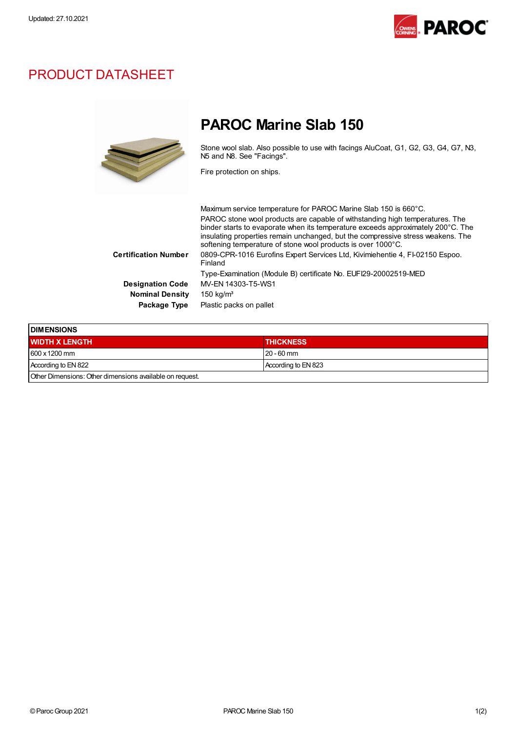

## PRODUCT DATASHEET



## PAROC Marine Slab 150

Stone wool slab. Also possible to use with facings AluCoat, G1, G2, G3, G4, G7, N3, N5 and N8. See "Facings".

Fire protection on ships.

|                         | Maximum service temperature for PAROC Marine Slab 150 is 660°C.                                                                                                                                                                                                                                                     |
|-------------------------|---------------------------------------------------------------------------------------------------------------------------------------------------------------------------------------------------------------------------------------------------------------------------------------------------------------------|
|                         | PAROC stone wool products are capable of withstanding high temperatures. The<br>binder starts to evaporate when its temperature exceeds approximately 200°C. The<br>insulating properties remain unchanged, but the compressive stress weakens. The<br>softening temperature of stone wool products is over 1000°C. |
| Certification Number    | 0809-CPR-1016 Eurofins Expert Services Ltd, Kivimiehentie 4, FI-02150 Espoo.<br>Finland                                                                                                                                                                                                                             |
|                         | Type-Examination (Module B) certificate No. EUFI29-20002519-MED                                                                                                                                                                                                                                                     |
| <b>Designation Code</b> | MV-EN 14303-T5-WS1                                                                                                                                                                                                                                                                                                  |
| <b>Nominal Density</b>  | $150 \text{ kg/m}^3$                                                                                                                                                                                                                                                                                                |
| Package Type            | Plastic packs on pallet                                                                                                                                                                                                                                                                                             |
|                         |                                                                                                                                                                                                                                                                                                                     |

| <b>IDIMENSIONS</b>                                      |                     |  |  |
|---------------------------------------------------------|---------------------|--|--|
| <b>WIDTH X LENGTH</b>                                   | <b>THICKNESS</b>    |  |  |
| $1600 \times 1200$ mm                                   | $120 - 60$ mm       |  |  |
| According to EN 822                                     | According to EN 823 |  |  |
| Other Dimensions: Other dimensions available on request |                     |  |  |

Other Dimensions:Other dimensions available on request.